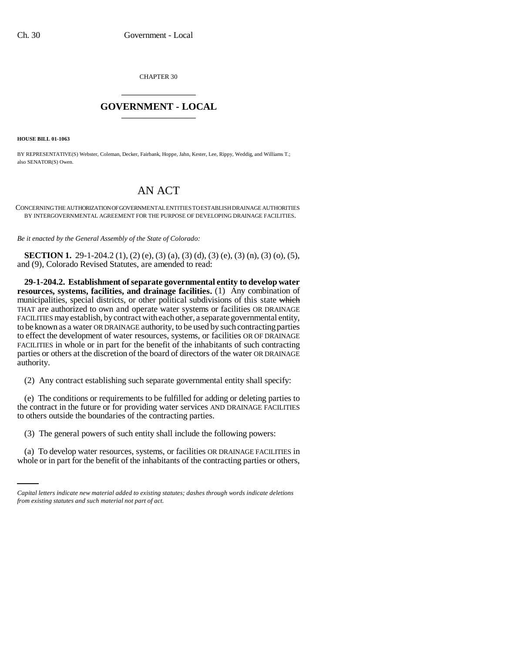CHAPTER 30 \_\_\_\_\_\_\_\_\_\_\_\_\_\_\_

## **GOVERNMENT - LOCAL** \_\_\_\_\_\_\_\_\_\_\_\_\_\_\_

**HOUSE BILL 01-1063**

BY REPRESENTATIVE(S) Webster, Coleman, Decker, Fairbank, Hoppe, Jahn, Kester, Lee, Rippy, Weddig, and Williams T.; also SENATOR(S) Owen.

## AN ACT

CONCERNING THE AUTHORIZATION OF GOVERNMENTAL ENTITIES TO ESTABLISH DRAINAGE AUTHORITIES BY INTERGOVERNMENTAL AGREEMENT FOR THE PURPOSE OF DEVELOPING DRAINAGE FACILITIES.

*Be it enacted by the General Assembly of the State of Colorado:*

**SECTION 1.** 29-1-204.2 (1), (2) (e), (3) (a), (3) (d), (3) (e), (3) (n), (3) (o), (5), and (9), Colorado Revised Statutes, are amended to read:

**29-1-204.2. Establishment of separate governmental entity to develop water resources, systems, facilities, and drainage facilities.** (1) Any combination of municipalities, special districts, or other political subdivisions of this state which THAT are authorized to own and operate water systems or facilities OR DRAINAGE FACILITIES may establish, by contract with each other, a separate governmental entity, to be known as a water OR DRAINAGE authority, to be used by such contracting parties to effect the development of water resources, systems, or facilities OR OF DRAINAGE FACILITIES in whole or in part for the benefit of the inhabitants of such contracting parties or others at the discretion of the board of directors of the water OR DRAINAGE authority.

(2) Any contract establishing such separate governmental entity shall specify:

(e) The conditions or requirements to be fulfilled for adding or deleting parties to the contract in the future or for providing water services AND DRAINAGE FACILITIES to others outside the boundaries of the contracting parties.

(3) The general powers of such entity shall include the following powers:

(a) To develop water resources, systems, or facilities OR DRAINAGE FACILITIES in whole or in part for the benefit of the inhabitants of the contracting parties or others,

*Capital letters indicate new material added to existing statutes; dashes through words indicate deletions from existing statutes and such material not part of act.*